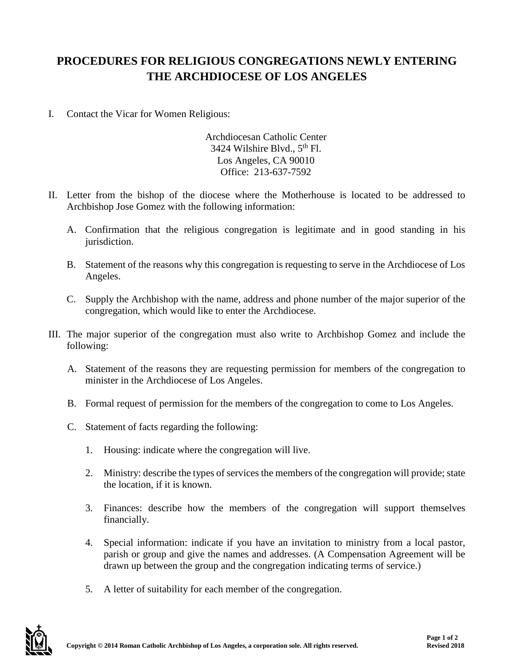## **PROCEDURES FOR RELIGIOUS CONGREGATIONS NEWLY ENTERING THE ARCHDIOCESE OF LOS ANGELES**

I. Contact the Vicar for Women Religious:

Archdiocesan Catholic Center 3424 Wilshire Blvd., 5<sup>th</sup> Fl. Los Angeles, CA 90010 Office: 213-637-7592

- II. Letter from the bishop of the diocese where the Motherhouse is located to be addressed to Archbishop Jose Gomez with the following information:
	- A. Confirmation that the religious congregation is legitimate and in good standing in his jurisdiction.
	- B. Statement of the reasons why this congregation is requesting to serve in the Archdiocese of Los Angeles.
	- C. Supply the Archbishop with the name, address and phone number of the major superior of the congregation, which would like to enter the Archdiocese.
- III. The major superior of the congregation must also write to Archbishop Gomez and include the following:
	- A. Statement of the reasons they are requesting permission for members of the congregation to minister in the Archdiocese of Los Angeles.
	- B. Formal request of permission for the members of the congregation to come to Los Angeles.
	- C. Statement of facts regarding the following:
		- 1. Housing: indicate where the congregation will live.
		- 2. Ministry: describe the types of services the members of the congregation will provide; state the location, if it is known.
		- 3. Finances: describe how the members of the congregation will support themselves financially.
		- 4. Special information: indicate if you have an invitation to ministry from a local pastor, parish or group and give the names and addresses. (A Compensation Agreement will be drawn up between the group and the congregation indicating terms of service.)
		- 5. A letter of suitability for each member of the congregation.